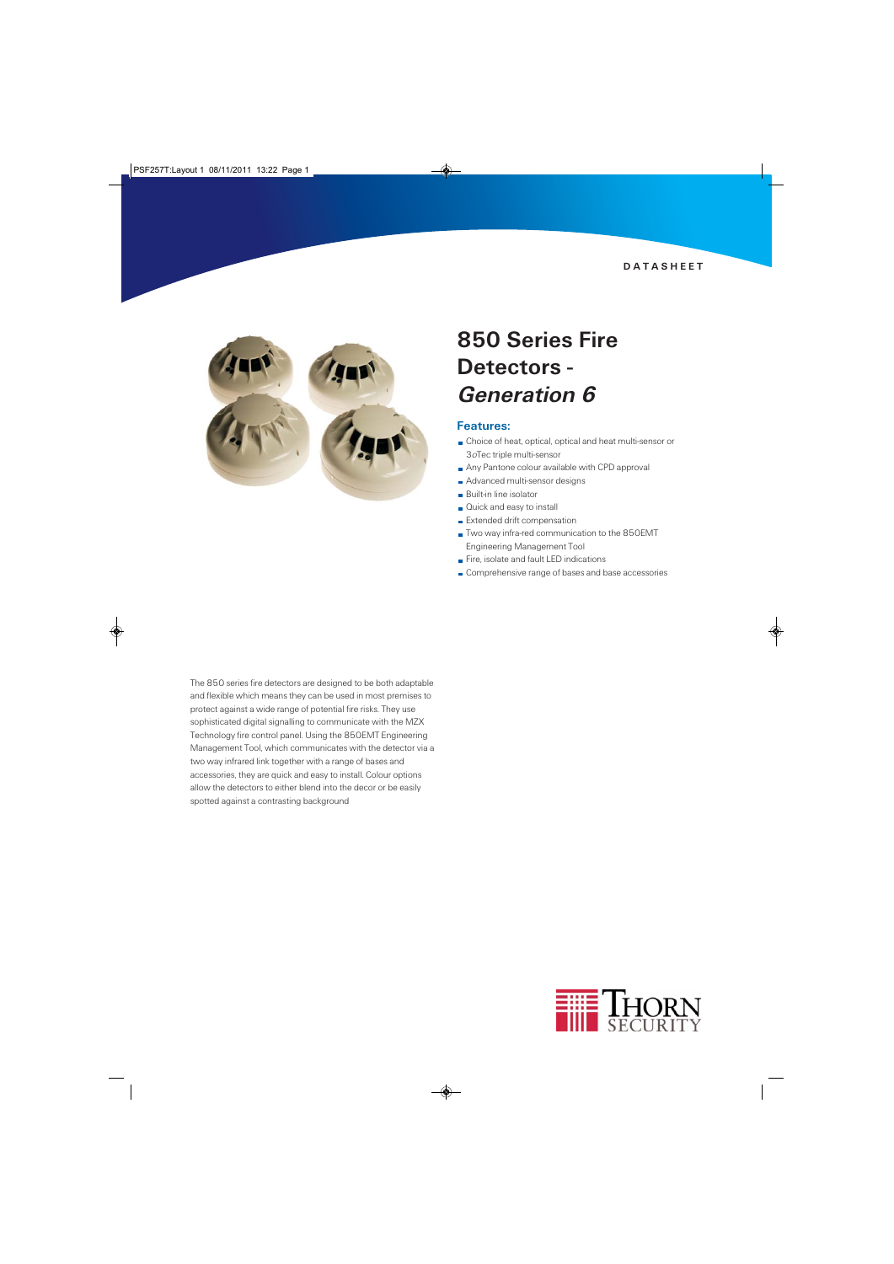**DATASHEET** 



## 850 Series Fire Detectors - Generation 6

#### Features:

- Choice of heat, optical, optical and heat multi-sensor or 3oTec triple multi-sensor
- Any Pantone colour available with CPD approval
- Advanced multi-sensor designs
- **Built-in line isolator**
- Quick and easy to install
- **Extended drift compensation**
- Two way infra-red communication to the 850EMT Engineering Management Tool
- Fire, isolate and fault LED indications
- Comprehensive range of bases and base accessories

The 850 series fire detectors are designed to be both adaptable and flexible which means they can be used in most premises to protect against a wide range of potential fire risks. They use sophisticated digital signalling to communicate with the MZX Technology fire control panel. Using the 850EMT Engineering Management Tool, which communicates with the detector via a two way infrared link together with a range of bases and accessories, they are quick and easy to install. Colour options allow the detectors to either blend into the decor or be easily spotted against a contrasting background

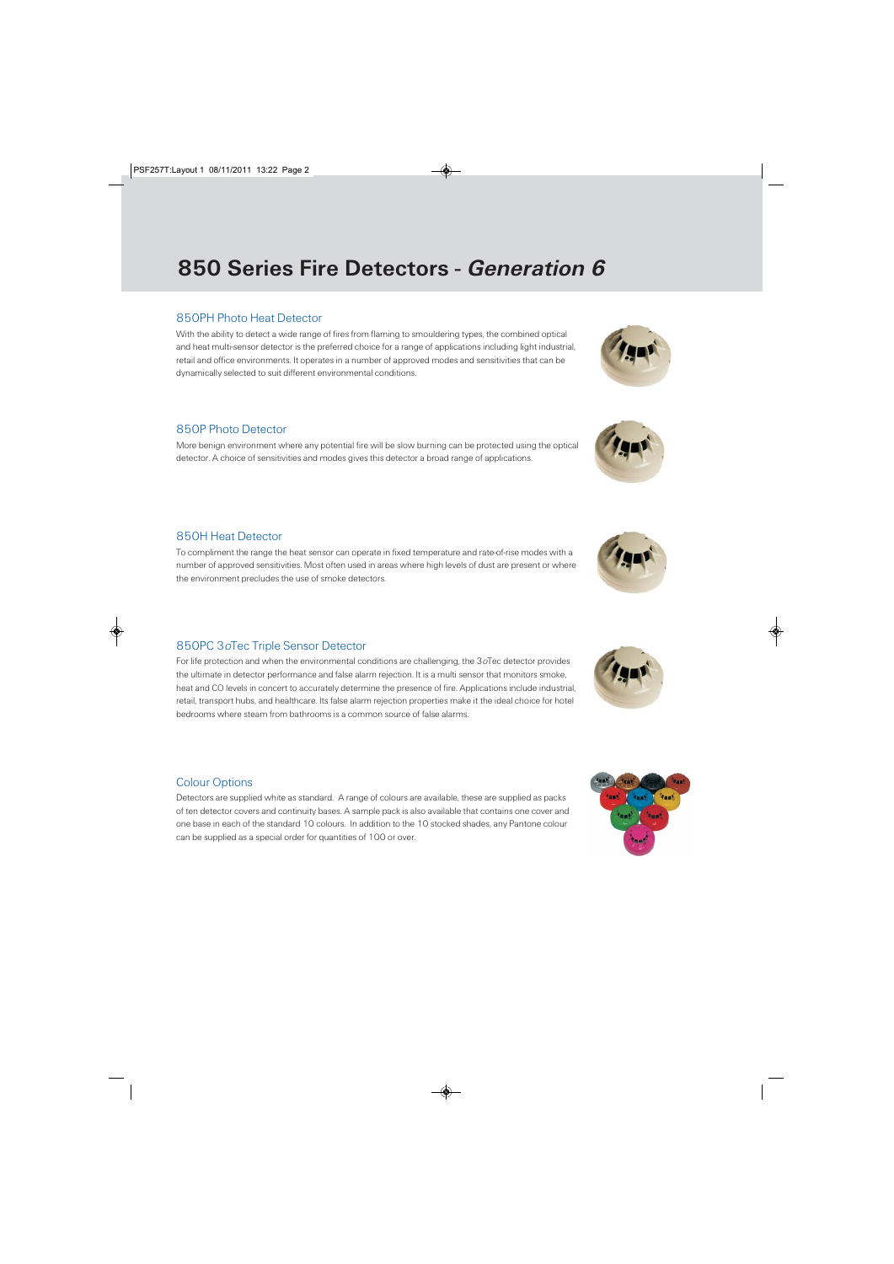## 850 Series Fire Detectors - Generation 6

#### 850PH Photo Heat Detector

With the ability to detect a wide range of fires from flaming to smouldering types, the combined optical and heat multi-sensor detector is the preferred choice for a range of applications including light industrial, retail and office environments. It operates in a number of approved modes and sensitivities that can be dynamically selected to suit different environmental conditions.

### 850P Photo Detector

More benign environment where any potential fire will be slow burning can be protected using the optical detector. A choice of sensitivities and modes gives this detector a broad range of applications.

## 850H Heat Detector

To compliment the range the heat sensor can operate in fixed temperature and rate-of-rise modes with a number of approved sensitivities. Most often used in areas where high levels of dust are present or where the environment precludes the use of smoke detectors.

## 850PC 3oTec Triple Sensor Detector

For life protection and when the environmental conditions are challenging, the 3oTec detector provides the ultimate in detector performance and false alarm rejection. It is a multi sensor that monitors smoke, heat and CO levels in concert to accurately determine the presence of fire. Applications include industrial, retail, transport hubs, and healthcare. Its false alarm rejection properties make it the ideal choice for hotel bedrooms where steam from bathrooms is a common source of false alarms.

#### Colour Options

Detectors are supplied white as standard. A range of colours are available, these are supplied as packs of ten detector covers and continuity bases. A sample pack is also available that contains one cover and one base in each of the standard 10 colours. In addition to the 10 stocked shades, any Pantone colour can be supplied as a special order for quantities of 100 or over.









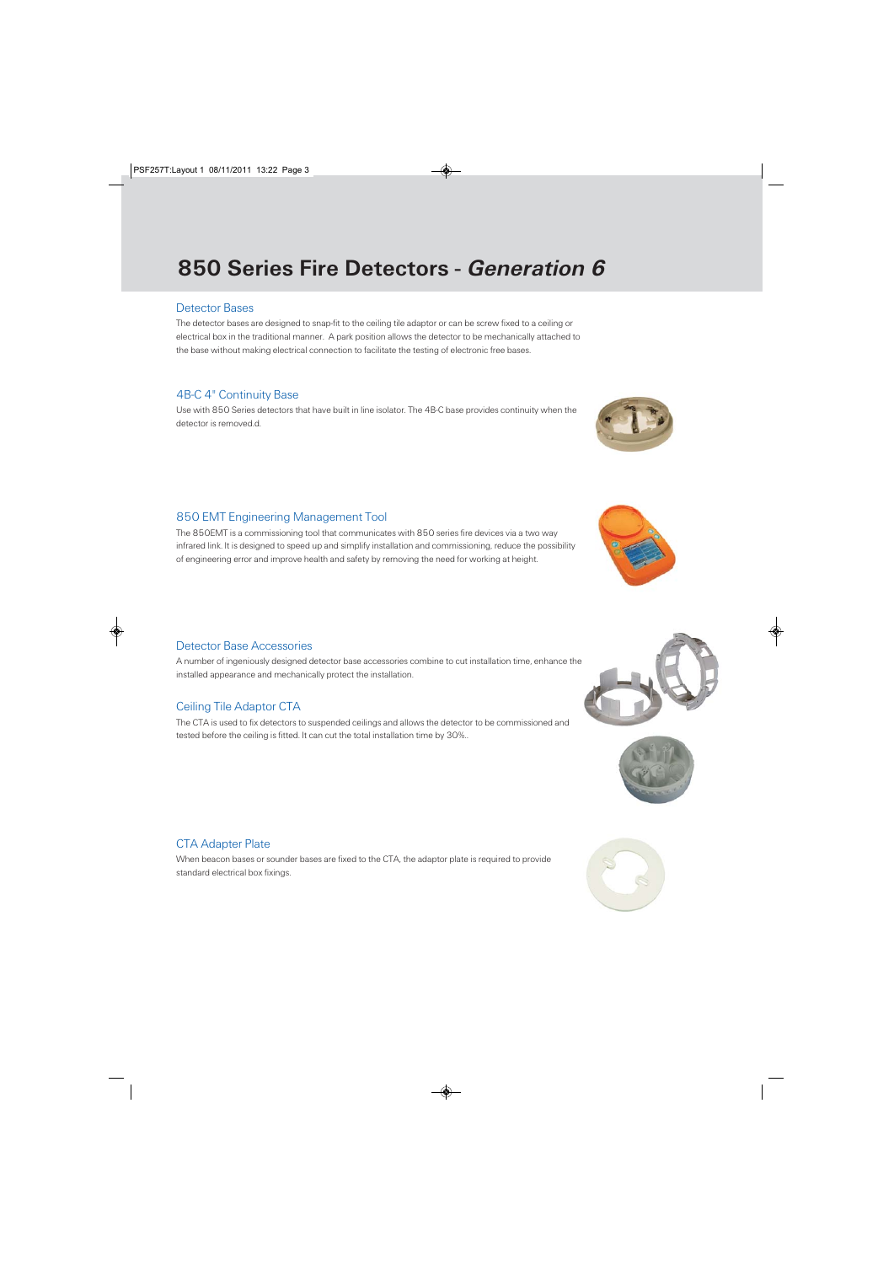# 850 Series Fire Detectors - Generation 6

#### Detector Bases

The detector bases are designed to snap-fit to the ceiling tile adaptor or can be screw fixed to a ceiling or electrical box in the traditional manner. A park position allows the detector to be mechanically attached to the base without making electrical connection to facilitate the testing of electronic free bases.

#### 4B-C 4" Continuity Base

Use with 850 Series detectors that have built in line isolator. The 4B-C base provides continuity when the detector is removed.d.

## 850 EMT Engineering Management Tool

The 850EMT is a commissioning tool that communicates with 850 series fire devices via a two way infrared link. It is designed to speed up and simplify installation and commissioning, reduce the possibility of engineering error and improve health and safety by removing the need for working at height.

#### Detector Base Accessories

A number of ingeniously designed detector base accessories combine to cut installation time, enhance the installed appearance and mechanically protect the installation.

## Ceiling Tile Adaptor CTA

The CTA is used to fix detectors to suspended ceilings and allows the detector to be commissioned and tested before the ceiling is fitted. It can cut the total installation time by 30%..

## CTA Adapter Plate

When beacon bases or sounder bases are fixed to the CTA, the adaptor plate is required to provide standard electrical box fixings.









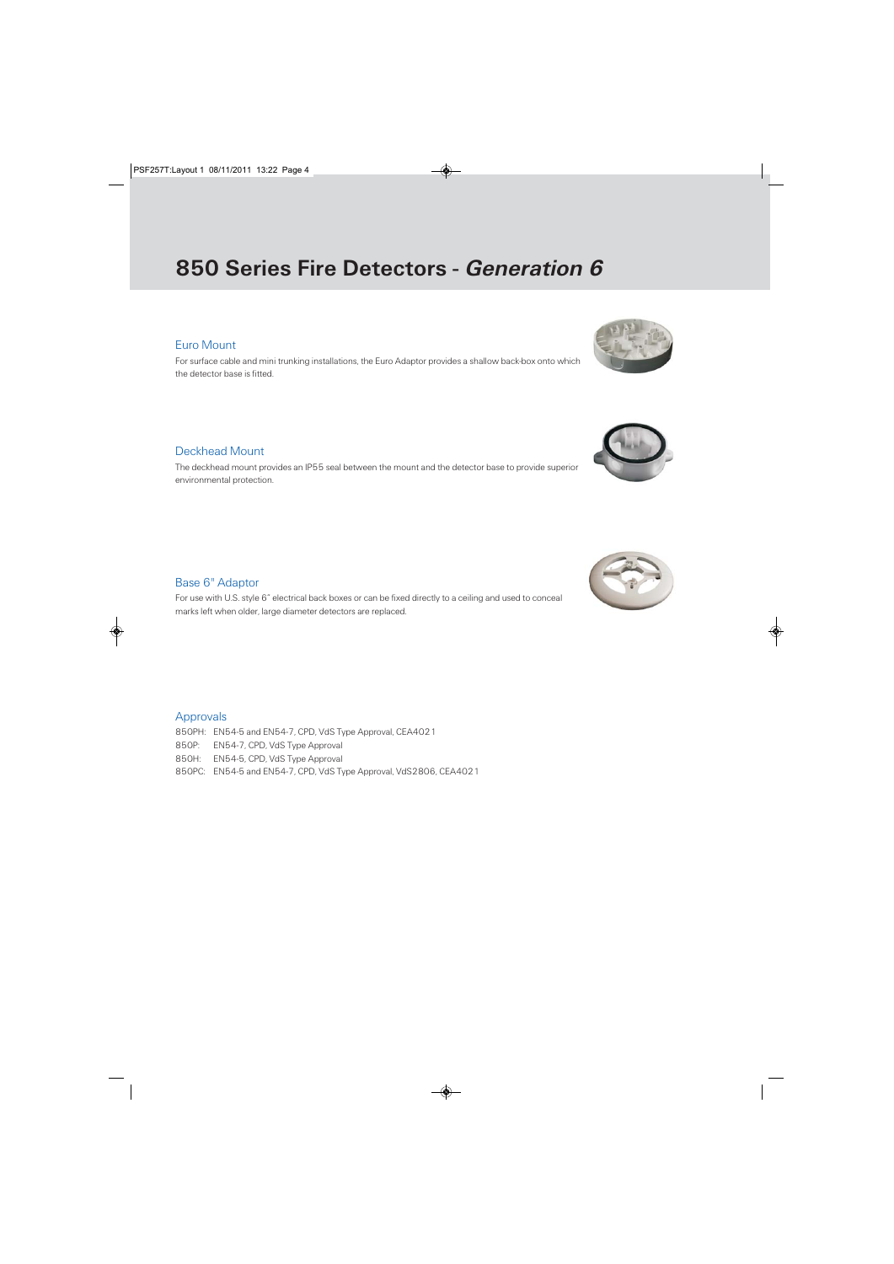## 850 Series Fire Detectors - Generation 6

### Euro Mount

For surface cable and mini trunking installations, the Euro Adaptor provides a shallow back-box onto which the detector base is fitted.

#### Deckhead Mount

The deckhead mount provides an IP55 seal between the mount and the detector base to provide superior environmental protection.

Base 6" Adaptor

For use with U.S. style 6" electrical back boxes or can be fixed directly to a ceiling and used to conceal marks left when older, large diameter detectors are replaced.

#### Approvals

850PH: EN54-5 and EN54-7, CPD, VdS Type Approval, CEA4021 850P: EN54-7, CPD, VdS Type Approval 850H: EN54-5, CPD, VdS Type Approval 850PC: EN54-5 and EN54-7, CPD, VdS Type Approval, VdS2806, CEA4021